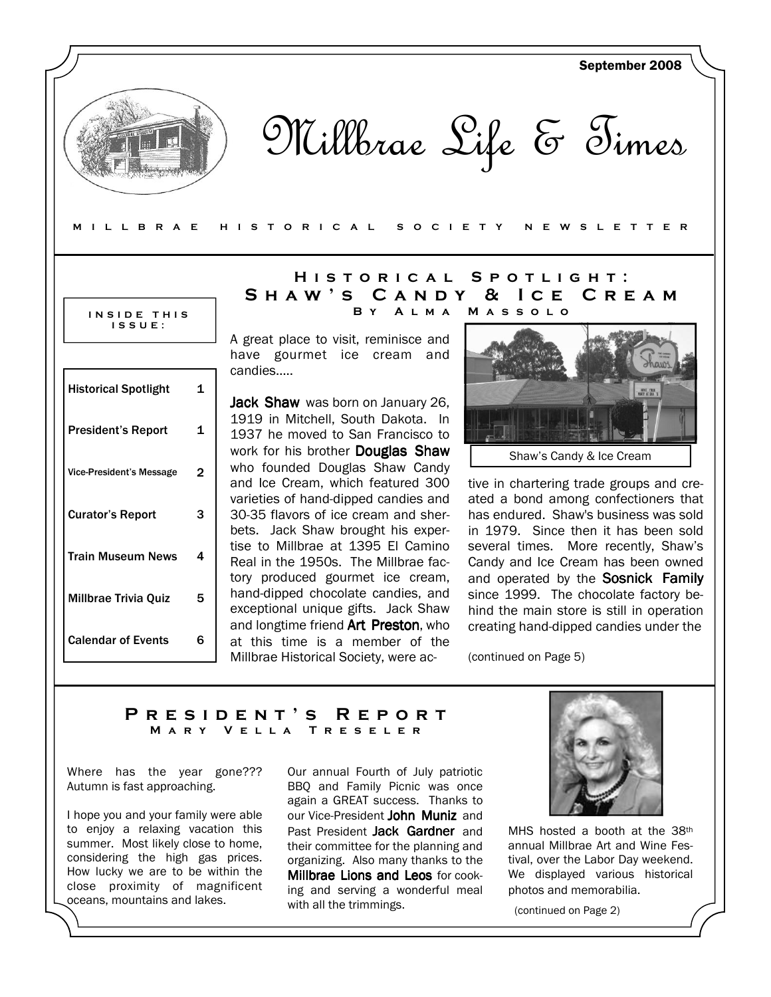

Millbrae Life & Times

#### M I L L B R A E H I S T O R I C A L S O C I E T Y N E W S L E T T E R

#### INSIDE THIS I S S U E :

| <b>Historical Spotlight</b> | 1 |
|-----------------------------|---|
| <b>President's Report</b>   | 1 |
| Vice-President's Message    | 2 |
| <b>Curator's Report</b>     | З |
| <b>Train Museum News</b>    | 4 |
| Millbrae Trivia Quiz        | 5 |
| <b>Calendar of Events</b>   | ห |

## HISTORICAL SPOTLIGHT: S h a w ' s C a n d y & I c e C r e a m B y A l m a M a s s o l o

A great place to visit, reminisce and have gourmet ice cream and candies…..

Jack Shaw was born on January 26, 1919 in Mitchell, South Dakota. In 1937 he moved to San Francisco to work for his brother Douglas Shaw who founded Douglas Shaw Candy and Ice Cream, which featured 300 varieties of hand-dipped candies and 30-35 flavors of ice cream and sherbets. Jack Shaw brought his expertise to Millbrae at 1395 El Camino Real in the 1950s. The Millbrae factory produced gourmet ice cream, hand-dipped chocolate candies, and exceptional unique gifts. Jack Shaw and longtime friend **Art Preston**, who at this time is a member of the Millbrae Historical Society, were ac-



Shaw's Candy & Ice Cream

tive in chartering trade groups and created a bond among confectioners that has endured. Shaw's business was sold in 1979. Since then it has been sold several times. More recently, Shaw's Candy and Ice Cream has been owned and operated by the Sosnick Family since 1999. The chocolate factory behind the main store is still in operation creating hand-dipped candies under the

(continued on Page 5)

## PRESIDENT'S REPORT M A R Y Y E L L A T R E S E L E R

Where has the year gone??? Autumn is fast approaching.

I hope you and your family were able to enjoy a relaxing vacation this summer. Most likely close to home, considering the high gas prices. How lucky we are to be within the close proximity of magnificent oceans, mountains and lakes.

Our annual Fourth of July patriotic BBQ and Family Picnic was once again a GREAT success. Thanks to our Vice-President John Muniz and Past President Jack Gardner and their committee for the planning and organizing. Also many thanks to the Millbrae Lions and Leos for cooking and serving a wonderful meal with all the trimmings.



MHS hosted a booth at the 38<sup>th</sup> annual Millbrae Art and Wine Festival, over the Labor Day weekend. We displayed various historical photos and memorabilia.

(continued on Page 2)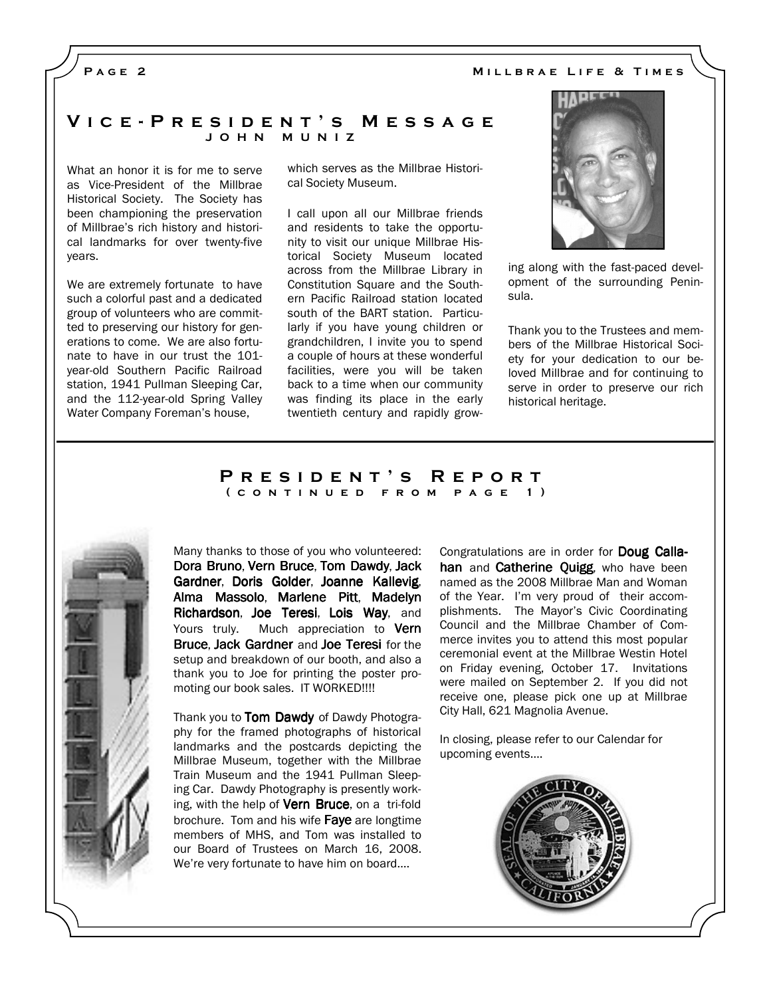## PAGE<sub>2</sub>

#### MILLBRAE LIFE & TIMES

### V i c e - P r e s i d e n t ' s M e s s a g e J O H N M U N I Z

What an honor it is for me to serve as Vice-President of the Millbrae Historical Society. The Society has been championing the preservation of Millbrae's rich history and historical landmarks for over twenty-five years.

We are extremely fortunate to have such a colorful past and a dedicated group of volunteers who are committed to preserving our history for generations to come. We are also fortunate to have in our trust the 101 year-old Southern Pacific Railroad station, 1941 Pullman Sleeping Car, and the 112-year-old Spring Valley Water Company Foreman's house,

which serves as the Millbrae Historical Society Museum.

I call upon all our Millbrae friends and residents to take the opportunity to visit our unique Millbrae Historical Society Museum located across from the Millbrae Library in Constitution Square and the Southern Pacific Railroad station located south of the BART station. Particularly if you have young children or grandchildren, I invite you to spend a couple of hours at these wonderful facilities, were you will be taken back to a time when our community was finding its place in the early twentieth century and rapidly grow-



ing along with the fast-paced development of the surrounding Peninsula.

Thank you to the Trustees and members of the Millbrae Historical Society for your dedication to our beloved Millbrae and for continuing to serve in order to preserve our rich historical heritage.

#### PRESIDENT'S REPORT ( c o n t i n u e d f r o m p a g e 1 )



Many thanks to those of you who volunteered: Dora Bruno, Vern Bruce, Tom Dawdy, Jack Gardner, Doris Golder, Joanne Kallevig, Alma Massolo, Marlene Pitt, Madelyn Richardson, Joe Teresi, Lois Way, and Yours truly. Much appreciation to Vern Bruce, Jack Gardner and Joe Teresi for the setup and breakdown of our booth, and also a thank you to Joe for printing the poster promoting our book sales. IT WORKED!!!!

Thank you to Tom Dawdy of Dawdy Photography for the framed photographs of historical landmarks and the postcards depicting the Millbrae Museum, together with the Millbrae Train Museum and the 1941 Pullman Sleeping Car. Dawdy Photography is presently working, with the help of Vern Bruce, on a tri-fold brochure. Tom and his wife Faye are longtime members of MHS, and Tom was installed to our Board of Trustees on March 16, 2008. We're very fortunate to have him on board….

Congratulations are in order for **Doug Calla**han and Catherine Quigg, who have been named as the 2008 Millbrae Man and Woman of the Year. I'm very proud of their accomplishments. The Mayor's Civic Coordinating Council and the Millbrae Chamber of Commerce invites you to attend this most popular ceremonial event at the Millbrae Westin Hotel on Friday evening, October 17. Invitations were mailed on September 2. If you did not receive one, please pick one up at Millbrae City Hall, 621 Magnolia Avenue.

In closing, please refer to our Calendar for upcoming events….

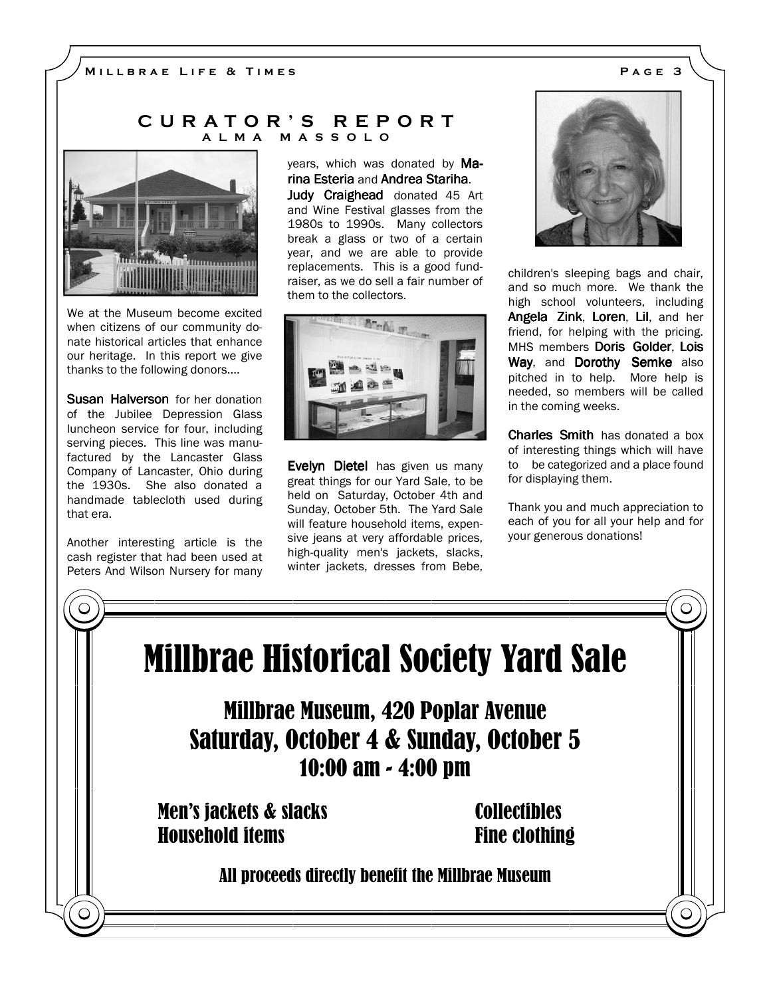## C U R A T O R ' S R E P O R T A L M A M A S S O L O



We at the Museum become excited when citizens of our community donate historical articles that enhance our heritage. In this report we give thanks to the following donors....

**Susan Halverson** for her donation of the Jubilee Depression Glass luncheon service for four, including serving pieces. This line was manufactured by the Lancaster Glass Company of Lancaster, Ohio during the 1930s. She also donated a handmade tablecloth used during that era.

Another interesting article is the cash register that had been used at Peters And Wilson Nursery for many

years, which was donated by Marina Esteria and Andrea Stariha. Judy Craighead donated 45 Art and Wine Festival glasses from the 1980s to 1990s. Many collectors break a glass or two of a certain year, and we are able to provide replacements. This is a good fundraiser, as we do sell a fair number of them to the collectors.



Evelyn Dietel has given us many great things for our Yard Sale, to be held on Saturday, October 4th and Sunday, October 5th. The Yard Sale will feature household items, expensive jeans at very affordable prices, high-quality men's jackets, slacks, winter jackets, dresses from Bebe,



children's sleeping bags and chair, and so much more. We thank the high school volunteers, including Angela Zink, Loren, Lil, and her friend, for helping with the pricing. MHS members Doris Golder, Lois Way, and Dorothy Semke also pitched in to help. More help is needed, so members will be called in the coming weeks.

Charles Smith has donated a box of interesting things which will have to be categorized and a place found for displaying them.

Thank you and much appreciation to each of you for all your help and for your generous donations!

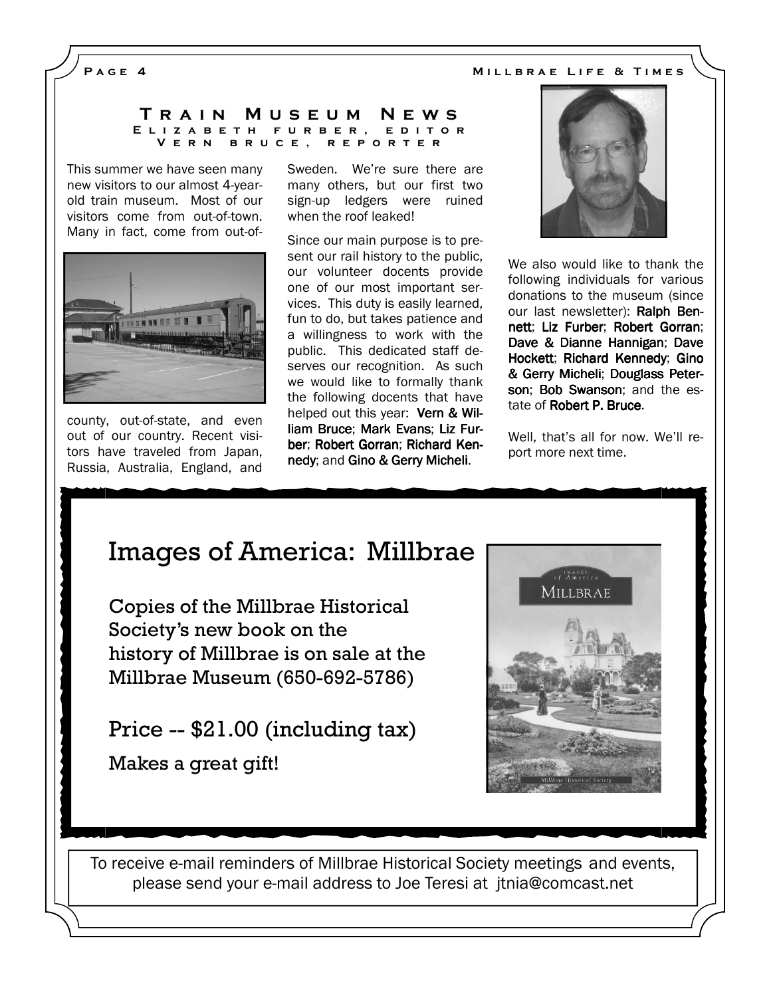## PAGE 4 MILLBRAE LIFE & TIMES

#### T r a i n M u s e u m N e w s E L I Z A B E T H F U R B E R , E D I T O R V e r n b r u c e , r e p o r t e r

This summer we have seen many new visitors to our almost 4-yearold train museum. Most of our visitors come from out-of-town. Many in fact, come from out-of-



county, out-of-state, and even out of our country. Recent visitors have traveled from Japan, Russia, Australia, England, and Sweden. We're sure there are many others, but our first two sign-up ledgers were ruined when the roof leaked!

Since our main purpose is to present our rail history to the public, our volunteer docents provide one of our most important services. This duty is easily learned, fun to do, but takes patience and a willingness to work with the public. This dedicated staff deserves our recognition. As such we would like to formally thank the following docents that have helped out this year: Vern & William Bruce: Mark Evans: Liz Furber; Robert Gorran; Richard Kennedy; and Gino & Gerry Micheli.



We also would like to thank the following individuals for various donations to the museum (since our last newsletter): Ralph Bennett; Liz Furber; Robert Gorran; Dave & Dianne Hannigan; Dave Hockett; Richard Kennedy; Gino & Gerry Micheli; Douglass Peterson: Bob Swanson; and the estate of **Robert P. Bruce.** 

Well, that's all for now. We'll report more next time.

# Images of America: Millbrae

Copies of the Millbrae Historical Society's new book on the history of Millbrae is on sale at the Millbrae Museum (650-692-5786)

Price -- \$21.00 (including tax)

Makes a great gift!



To receive e-mail reminders of Millbrae Historical Society meetings and events, please send your e-mail address to Joe Teresi at jtnia@comcast.net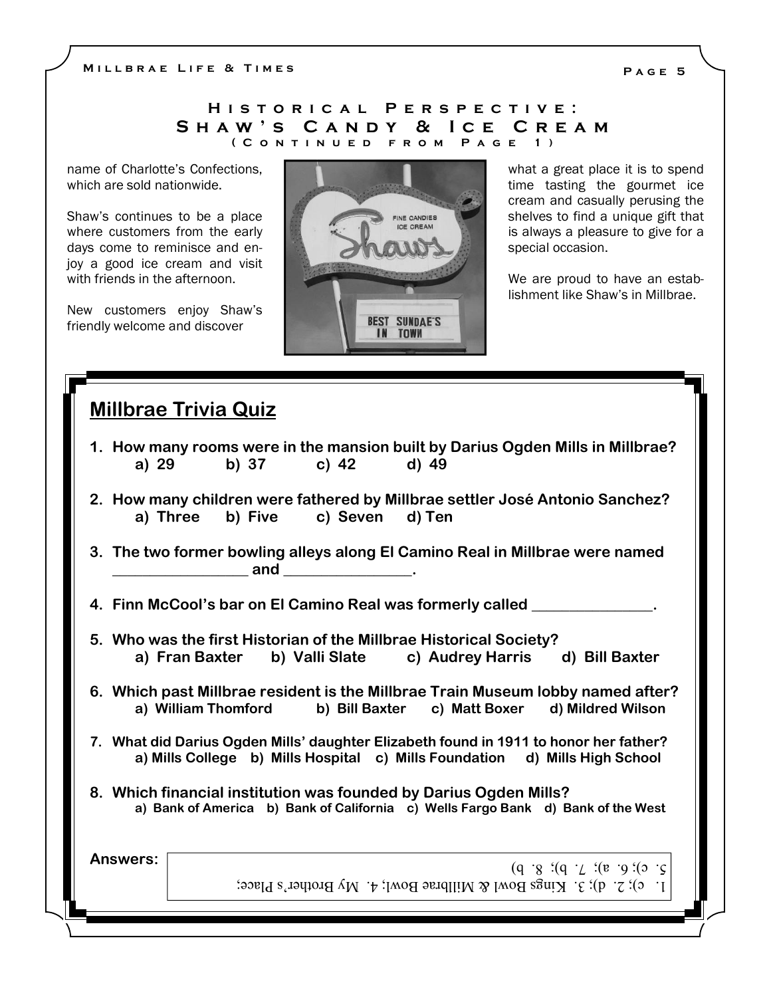M I LLBRAE LIFE & TIMES

## H I S T O R I C A L P E R S P E C T I V E : SHAW'S CANDY & ICE CREAM ( C o n t i n u e d f r o m P a g e 1 )

name of Charlotte's Confections, which are sold nationwide.

Shaw's continues to be a place where customers from the early days come to reminisce and enjoy a good ice cream and visit with friends in the afternoon.

New customers enjoy Shaw's friendly welcome and discover



what a great place it is to spend time tasting the gourmet ice cream and casually perusing the shelves to find a unique gift that is always a pleasure to give for a special occasion.

We are proud to have an establishment like Shaw's in Millbrae.

## Millbrae Trivia Quiz

| 1. How many rooms were in the mansion built by Darius Ogden Mills in Millbrae? |       |                                  |       |                                                                              |  |
|--------------------------------------------------------------------------------|-------|----------------------------------|-------|------------------------------------------------------------------------------|--|
| a) 29                                                                          | b) 37 | c) $42$                          | d) 49 |                                                                              |  |
|                                                                                |       | a) Three b) Five c) Seven d) Ten |       | 2. How many children were fathered by Millbrae settler José Antonio Sanchez? |  |
|                                                                                |       |                                  |       | 3. The two former bowling alleys along El Camino Real in Millbrae were named |  |
|                                                                                | and   |                                  |       |                                                                              |  |
|                                                                                |       |                                  |       |                                                                              |  |

4. Finn McCool's bar on El Camino Real was formerly called \_\_\_\_\_\_\_\_\_\_\_\_\_\_\_\_.

- 5. Who was the first Historian of the Millbrae Historical Society? a) Fran Baxter b) Valli Slate c) Audrey Harris d) Bill Baxter
- 6. Which past Millbrae resident is the Millbrae Train Museum lobby named after? a) William Thomford b) Bill Baxter c) Matt Boxer d) Mildred Wilson
- 7. What did Darius Ogden Mills' daughter Elizabeth found in 1911 to honor her father? a) Mills College b) Mills Hospital c) Mills Foundation d) Mills High School
- 8. Which financial institution was founded by Darius Ogden Mills? a) Bank of America b) Bank of California c) Wells Fargo Bank d) Bank of the West

| <b>Answers:</b> | $\begin{bmatrix} 2 & c \end{bmatrix}$ : 6. a); 7. b); 8. b)<br>  1. c); 2. d); 3. Kings Bowl & Millbrae Bowl; 4. My Brother's Place; |
|-----------------|--------------------------------------------------------------------------------------------------------------------------------------|
|                 |                                                                                                                                      |